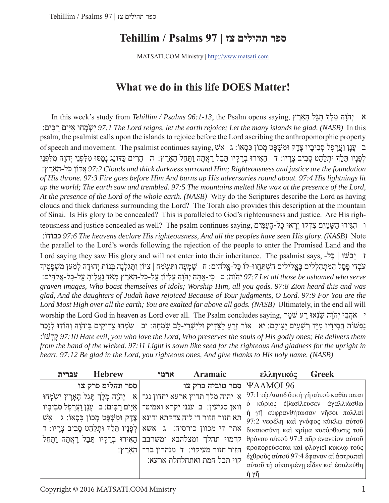# **ספר תהילים צז | 97 Psalms / Tehillim**

MATSATI.COM Ministry | http://www.matsati.com

# **What we do in this life DOES Matter!**

 In this week's study from *Tehillim / Psalms 96:1-13*, the Psalm opens saying, אָרץֶ הָ לֵתּגָ ךְלָ מָ והָֹהְי א :בּיםִ רַ יםִאיִּ מחוְּ ֹשְ ִי *97:1 The Lord reigns, let the earth rejoice; Let the many islands be glad. (NASB)* In this psalm, the psalmist calls upon the islands to rejoice before the Lord ascribing the anthropomorphic property ב ַעֲנַן וַעֲרַפֶּל סְבִיבֵיו צֶדֶק וּמְשָׁפַּט מְכוֹן כִּסְאוֹ: ג ַאֵשׁ ,שׁ , אֵלוֹ , אֵלוֹ , סִבִיבִיו צֶדֶק ַלְפָנָיו תֵּלֵךְ וּתִלַּהֵט סָבִיב צָרֵיו: דִּה הֶאִירוּ בְרָקֵיו תֵּבֵל רָאֲתָה וַתַּחֲל הָאַרֵץ: הִההַרִים כַּדּוֹנַג נָמַסוּ מִלְפִנֵי יִהוֶה מִלְפִנֵי :אָרץֶ הָ -כּלָ אדוֹןֲ *97:2 Clouds and thick darkness surround Him; Righteousness and justice are the foundation of His throne. 97:3 Fire goes before Him And burns up His adversaries round about. 97:4 His lightnings lit up the world; The earth saw and trembled. 97:5 The mountains melted like wax at the presence of the Lord, At the presence of the Lord of the whole earth. (NASB)* Why do the Scriptures describe the Lord as having clouds and thick darkness surrounding the Lord? The Torah also provides this description at the mountain of Sinai. Is His glory to be concealed? This is paralleled to God's righteousness and justice. Are His righteousness and justice concealed as well? The psalm continues saying, מּיםִ עַ הָ -כלָ ראוָּוְ דקוְֹ צִ םִמיַ ׁשָּ הַ גּידוִּ הִ ו :כּבוֹדוְֹ *97:6 The heavens declare His righteousness, And all the peoples have seen His glory. (NASB)* Note the parallel to the Lord's words following the rejection of the people to enter the Promised Land and the Lord saying they saw His glory and will not enter into their inheritance. The psalmist says, -כּלָ | בשׁוֵּי ז ּעֹבְדֵי פֶסֶל הַמִּתְהַלְלִים בָּאֱלִילִים הִשְׁתַּחֲווּ-לוֹ כָּל-אֱלֹהִים: חִ שָׁמְעָה וַתִּשְׂמַח | צִיּוֹן וַתָּגֵלְנָה בְּנוֹת יְהוּדָה לְמַעַן מִשְׁפָּטֶיךָ יְהַיָּה: ט ִכִּי-אַתָּה יְהִוָּה עֲלִיוֹן עֲל-כַּל-הָאֲרֵץ מְאֹד נַעֲלֵיתַ עֲל-כַּל-אֱלֹהִים: p7:7 Let all those be ashamed who serve *graven images, Who boast themselves of idols; Worship Him, all you gods. 97:8 Zion heard this and was glad, And the daughters of Judah have rejoiced Because of Your judgments, O Lord. 97:9 For You are the Lord Most High over all the earth; You are exalted far above all gods. (NASB)* Ultimately, in the end all will worship the Lord God in heaven as Lord over all. The Psalm concludes saying, מרֵֹשׁ רעָ אוְּנֹשִ והָֹהְי ביֵ הֲֹא י נַפְשׁוֹת חֲסִידָיו מִיַּד רְשָׁעִים יַצִּילֵם: יא אוֹר זֶרָעַ לַצַּדִּיק וּלְיִשְׁרֵי-לֵב שָׂמְחָה: יב ַשִׂמְחוּ צַדִּיקִים בַּיהֹוָה וְהוֹדוּ לְזֵכֶר :דשׁוְֹ קָ *97:10 Hate evil, you who love the Lord, Who preserves the souls of His godly ones; He delivers them from the hand of the wicked. 97:11 Light is sown like seed for the righteous And gladness for the upright in heart. 97:12 Be glad in the Lord, you righteous ones, And give thanks to His holy name. (NASB)*

| <b>Hebrew</b><br>עברית                                                          | ארמי | Aramaic                                  | ελληνικός                                    | <b>Greek</b>                          |
|---------------------------------------------------------------------------------|------|------------------------------------------|----------------------------------------------|---------------------------------------|
| ספר תהלים פרק צו                                                                |      | ספר טוביה פרק צו   $\Delta\text{MOI}$ 96 |                                              |                                       |
| א יהוה מלך תדוץ ארעא יחדון נג־ א יְהֹוָה מָלַךְ תָּגֵל הָאֲרֶץ יִשְׂמְחוּ       |      |                                          | 97:1 τῷ Δαυιδ ὅτε ἡ γῆ αὐτοῦ καθίσταται      |                                       |
| וואן סגיעין: ב ענני יקרא ואמיט־  אִיִּים רַבִּים: ב עָנָן וַעֲרָפֶל סְבִיבָיו   |      |                                          | ο κύριος εβασίλευσεν αγαλλιάσθω              |                                       |
| $w$ ואַ גַּלוֹן בּסְאוֹ: גַּעֵּשׁ מְכוֹן בּסְאוֹ: גַּעֵּשׁ בּוֹן הַמִּשְׁפָּט מ |      |                                          | η γη εύφρανθήτωσαν νησοι πολλαί              | 97:2 νεφέλη και γνόφος κύκλω αύτου    |
| אתר די מכוון כורסיה: ג  אשא לְפָנָיו תֵּלֵךְ וּתְלַהֵט סָבִיב צָרָיו: ד         |      |                                          |                                              | δικαιοσύνη και κρίμα κατόρθωσις του   |
| קדמוי תהלך ומצלהבא ומשרבב הֵאִירוּ בְרָקָיו תֵּבֵל רָאֲתָה וַתָּחֵל             |      |                                          | $\theta$ ρόνου αύτοῦ 97:3 πῦρ ἐναντίον αύτοῦ |                                       |
| ׂ   הָאַרֵץ:                                                                    |      | חזור חזור מעיקוי: ד מנהרין בר־           |                                              | προπορεύσεται και φλογιεί κύκλω τους  |
|                                                                                 |      | קוי תבל חמת ואתחלחלת ארעא:               | έχθρούς αύτοῦ 97:4 ἔφαναν αί ἀστραπαί        |                                       |
|                                                                                 |      |                                          |                                              | αύτοῦ τῆ οἰκουμένη εἶδεν καὶ ἐσαλεύθη |
|                                                                                 |      |                                          | $\dot{\eta}$ $\gamma\tilde{\eta}$            |                                       |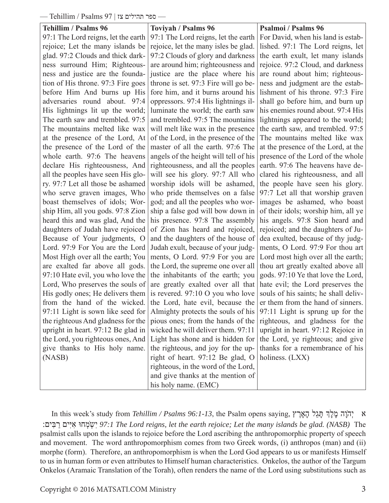— ספר תהילים צז | 97 Psalms / Tehillim—

| – ספר תהילים צז   / Psaims 9 – ספר תהילים צז |                                            |                                      |  |  |  |  |
|----------------------------------------------|--------------------------------------------|--------------------------------------|--|--|--|--|
| <b>Tehillim / Psalms 96</b>                  | <b>Toviyah / Psalms 96</b>                 | <b>Psalmoi</b> / Psalms 96           |  |  |  |  |
| 97:1 The Lord reigns, let the earth          | 97:1 The Lord reigns, let the earth        | For David, when his land is estab-   |  |  |  |  |
| rejoice; Let the many islands be             | rejoice, let the many isles be glad.       | lished. 97:1 The Lord reigns, let    |  |  |  |  |
| glad. 97:2 Clouds and thick dark-            | 97:2 Clouds of glory and darkness          | the earth exult, let many islands    |  |  |  |  |
| ness surround Him; Righteous-                | are around him; righteousness and          | rejoice. 97:2 Cloud, and darkness    |  |  |  |  |
| ness and justice are the founda-             | justice are the place where his            | are round about him; righteous-      |  |  |  |  |
| tion of His throne. 97:3 Fire goes           | throne is set. 97:3 Fire will go be-       | ness and judgment are the estab-     |  |  |  |  |
| before Him And burns up His                  | fore him, and it burns around his          | lishment of his throne. 97:3 Fire    |  |  |  |  |
| adversaries round about. 97:4                | oppressors. 97:4 His lightnings il-        | shall go before him, and burn up     |  |  |  |  |
| His lightnings lit up the world;             | luminate the world; the earth saw          | his enemies round about. 97:4 His    |  |  |  |  |
| The earth saw and trembled. 97:5             | and trembled. 97:5 The mountains           | lightnings appeared to the world;    |  |  |  |  |
| The mountains melted like wax                | will melt like wax in the presence         | the earth saw, and trembled. 97:5    |  |  |  |  |
| at the presence of the Lord, At              | of the Lord, in the presence of the        | The mountains melted like wax        |  |  |  |  |
| the presence of the Lord of the              | master of all the earth. 97:6 The          | at the presence of the Lord, at the  |  |  |  |  |
| whole earth. 97:6 The heavens                | angels of the height will tell of his      | presence of the Lord of the whole    |  |  |  |  |
| declare His righteousness, And               | righteousness, and all the peoples         | earth. 97:6 The heavens have de-     |  |  |  |  |
| all the peoples have seen His glo-           | will see his glory. 97:7 All who           | clared his righteousness, and all    |  |  |  |  |
| ry. 97:7 Let all those be ashamed            | worship idols will be ashamed,             | the people have seen his glory.      |  |  |  |  |
| who serve graven images, Who                 | who pride themselves on a false            | 97:7 Let all that worship graven     |  |  |  |  |
| boast themselves of idols; Wor-              | god; and all the peoples who wor-          | images be ashamed, who boast         |  |  |  |  |
| ship Him, all you gods. 97:8 Zion            | ship a false god will bow down in          | of their idols; worship him, all ye  |  |  |  |  |
| heard this and was glad, And the             | his presence. 97:8 The assembly            | his angels. 97:8 Sion heard and      |  |  |  |  |
| daughters of Judah have rejoiced             | of Zion has heard and rejoiced,            | rejoiced; and the daughters of Ju-   |  |  |  |  |
| Because of Your judgments, O                 | and the daughters of the house of          | dea exulted, because of thy judg-    |  |  |  |  |
| Lord. 97:9 For You are the Lord              | Judah exult, because of your judg-         | ments, O Lord. 97:9 For thou art     |  |  |  |  |
| Most High over all the earth; You            | ments, O Lord. 97:9 For you are            | Lord most high over all the earth;   |  |  |  |  |
| are exalted far above all gods.              | the Lord, the supreme one over all         | thou art greatly exalted above all   |  |  |  |  |
| 97:10 Hate evil, you who love the            | the inhabitants of the earth; you          | gods. 97:10 Ye that love the Lord,   |  |  |  |  |
| Lord, Who preserves the souls of             | are greatly exalted over all that          | hate evil; the Lord preserves the    |  |  |  |  |
| His godly ones; He delivers them             | is revered. $97:10 \text{ O}$ you who love | souls of his saints; he shall deliv- |  |  |  |  |
| from the hand of the wicked.                 | the Lord, hate evil, because the           | er them from the hand of sinners.    |  |  |  |  |
| 97:11 Light is sown like seed for            | Almighty protects the souls of his         | 97:11 Light is sprung up for the     |  |  |  |  |
| the righteous And gladness for the           | pious ones; from the hands of the          | righteous, and gladness for the      |  |  |  |  |
| upright in heart. 97:12 Be glad in           | wicked he will deliver them. 97:11         | upright in heart. 97:12 Rejoice in   |  |  |  |  |
| the Lord, you righteous ones, And            | Light has shone and is hidden for          | the Lord, ye righteous; and give     |  |  |  |  |
| give thanks to His holy name.                | the righteous, and joy for the up-         | thanks for a remembrance of his      |  |  |  |  |
| (NASB)                                       | right of heart. 97:12 Be glad, O           | holiness. (LXX)                      |  |  |  |  |
|                                              | righteous, in the word of the Lord,        |                                      |  |  |  |  |
|                                              | and give thanks at the mention of          |                                      |  |  |  |  |
|                                              | his holy name. (EMC)                       |                                      |  |  |  |  |

 In this week's study from *Tehillim / Psalms 96:1-13*, the Psalm opens saying, אָרץֶ הָ לֵתּגָ ךְלָ מָ והָֹהְי א :בּיםִ רַ יםִאיִּ מחוְּ ֹשְ ִי *97:1 The Lord reigns, let the earth rejoice; Let the many islands be glad. (NASB)* The psalmist calls upon the islands to rejoice before the Lord ascribing the anthropomorphic property of speech and movement. The word anthropomorphism comes from two Greek words, (i) anthropos (man) and (ii) morphe (form). Therefore, an anthropomorphism is when the Lord God appears to us or manifests Himself to us in human form or even attributes to Himself human characteristics. Onkelos, the author of the Targum Onkelos (Aramaic Translation of the Torah), often renders the name of the Lord using substitutions such as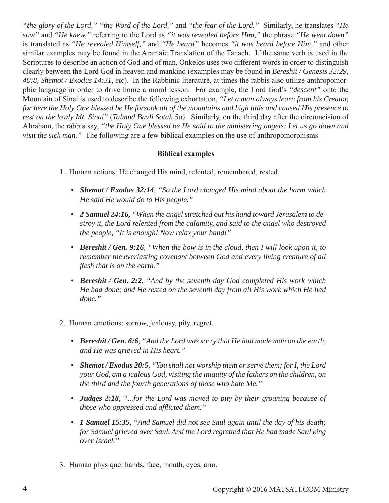*"the glory of the Lord," "the Word of the Lord,"* and *"the fear of the Lord."* Similarly, he translates *"He saw"* and *"He knew,"* referring to the Lord as *"it was revealed before Him,"* the phrase *"He went down"* is translated as *"He revealed Himself,"* and *"He heard"* becomes *"it was heard before Him,"* and other similar examples may be found in the Aramaic Translation of the Tanach. If the same verb is used in the Scriptures to describe an action of God and of man, Onkelos uses two different words in order to distinguish clearly between the Lord God in heaven and mankind (examples may be found in *Bereshit / Genesis 32:29, 40:8, Shemot / Exodus 14:31, etc*). In the Rabbinic literature, at times the rabbis also utilize anthropomorphic language in order to drive home a moral lesson. For example, the Lord God's *"descent"* onto the Mountain of Sinai is used to describe the following exhortation, *"Let a man always learn from his Creator, for here the Holy One blessed be He forsook all of the mountains and high hills and caused His presence to rest on the lowly Mt. Sinai"* (*Talmud Bavli Sotah 5a*). Similarly, on the third day after the circumcision of Abraham, the rabbis say, *"the Holy One blessed be He said to the ministering angels: Let us go down and visit the sick man."* The following are a few biblical examples on the use of anthropomorphisms.

# **Biblical examples**

- 1. Human actions: He changed His mind, relented, remembered, rested.
	- *Shemot / Exodus 32:14, "So the Lord changed His mind about the harm which He said He would do to His people."*
	- *2 Samuel 24:16, "When the angel stretched out his hand toward Jerusalem to destroy it, the Lord relented from the calamity, and said to the angel who destroyed the people, "It is enough! Now relax your hand!"*
	- *Bereshit / Gen. 9:16, "When the bow is in the cloud, then I will look upon it, to remember the everlasting covenant between God and every living creature of all flesh that is on the earth.*"
	- *Bereshit / Gen. 2:2, "And by the seventh day God completed His work which He had done; and He rested on the seventh day from all His work which He had done."*
- 2. Human emotions: sorrow, jealousy, pity, regret.
	- *Bereshit / Gen. 6:6, "And the Lord was sorry that He had made man on the earth, and He was grieved in His heart."*
	- *Shemot / Exodus 20:5, "You shall not worship them or serve them; for I, the Lord your God, am a jealous God, visiting the iniquity of the fathers on the children, on the third and the fourth generations of those who hate Me."*
	- *Judges 2:18, "...for the Lord was moved to pity by their groaning because of those who oppressed and afflicted them.*"
	- *1 Samuel 15:35, "And Samuel did not see Saul again until the day of his death; for Samuel grieved over Saul. And the Lord regretted that He had made Saul king over Israel."*
- 3. Human physique: hands, face, mouth, eyes, arm.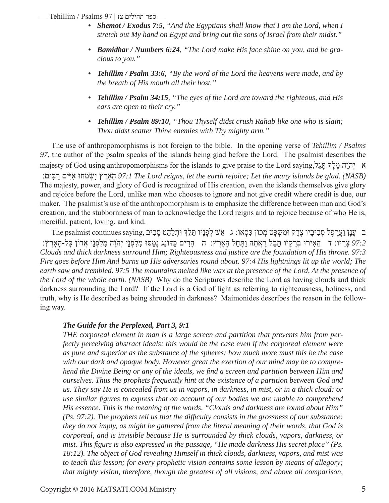— ספר תהילים צז | 97 Psalms / Tehillim—

- *Shemot / Exodus 7:5, "And the Egyptians shall know that I am the Lord, when I stretch out My hand on Egypt and bring out the sons of Israel from their midst."*
- *Bamidbar / Numbers 6:24, "The Lord make His face shine on you, and be gracious to you."*
- *Tehillim / Psalm 33:6, "By the word of the Lord the heavens were made, and by the breath of His mouth all their host."*
- *Tehillim / Psalm 34:15, "The eyes of the Lord are toward the righteous, and His ears are open to their cry."*
- *Tehillim / Psalm 89:10, "Thou Thyself didst crush Rahab like one who is slain; Thou didst scatter Thine enemies with Thy mighty arm."*

 The use of anthropomorphisms is not foreign to the bible. In the opening verse of *Tehillim / Psalms 97*, the author of the psalm speaks of the islands being glad before the Lord. The psalmist describes the majesty of God using anthropomorphisms for the islands to give praise to the Lord saying,לֵתּגָ ךְלָ מָ והָֹהְי א :בּיםִ רַ יםִאיִּ מחוְּ ֹשְ ִי אָרץֶ הָ *97:1 The Lord reigns, let the earth rejoice; Let the many islands be glad. (NASB)* The majesty, power, and glory of God is recognized of His creation, even the islands themselves give glory and rejoice before the Lord, unlike man who chooses to ignore and not give credit where credit is due, our maker. The psalmist's use of the anthropomorphism is to emphasize the difference between man and God's creation, and the stubbornness of man to acknowledge the Lord reigns and to rejoice because of who He is, merciful, patient, loving, and kind.

ב ַעֲנָן וַעֲרָפֶל סְבִיבָיו צֶדֶק וּמִשְׁפָּט מְכוֹן כִּסְאוֹ: ג ַאֵשׁ לְפָנָיו תֵּלֵךְ וּתְלַהֵט סָבִיב  *97:2* ָצָריו: ד ֵה ִאירוּ ְבָר ָקיו ֵתּ ֵבל ָרֲא ָתה ַו ָתּ ֵחל ָה ֶאָרץ: ה ָה ִרים ַכּדּוֹנַג נָ ַמסּוּ ִמ ִלּ ְפנֵי יְהָֹוה ִמ ִלּ ְפנֵי ֲאדוֹן ָכּל- ָה ֶאָרץ: *Clouds and thick darkness surround Him; Righteousness and justice are the foundation of His throne. 97:3 Fire goes before Him And burns up His adversaries round about. 97:4 His lightnings lit up the world; The*  earth saw and trembled. 97:5 The mountains melted like wax at the presence of the Lord, At the presence of *the Lord of the whole earth. (NASB)* Why do the Scriptures describe the Lord as having clouds and thick darkness surrounding the Lord? If the Lord is a God of light as referring to righteousness, holiness, and truth, why is He described as being shrouded in darkness? Maimonides describes the reason in the following way.

## *The Guide for the Perplexed, Part 3, 9:1*

*THE corporeal element in man is a large screen and partition that prevents him from perfectly perceiving abstract ideals: this would be the case even if the corporeal element were as pure and superior as the substance of the spheres; how much more must this be the case with our dark and opaque body. However great the exertion of our mind may be to comprehend the Divine Being or any of the ideals, we find a screen and partition between Him and ourselves. Thus the prophets frequently hint at the existence of a partition between God and us. They say He is concealed from us in vapors, in darkness, in mist, or in a thick cloud: or use similar figures to express that on account of our bodies we are unable to comprehend His essence. This is the meaning of the words, "Clouds and darkness are round about Him" (Ps. 97:2). The prophets tell us that the difficulty consists in the grossness of our substance: they do not imply, as might be gathered from the literal meaning of their words, that God is corporeal, and is invisible because He is surrounded by thick clouds, vapors, darkness, or mist. This figure is also expressed in the passage, "He made darkness His secret place" (Ps. 18:12). The object of God revealing Himself in thick clouds, darkness, vapors, and mist was to teach this lesson; for every prophetic vision contains some lesson by means of allegory; that mighty vision, therefore, though the greatest of all visions, and above all comparison,*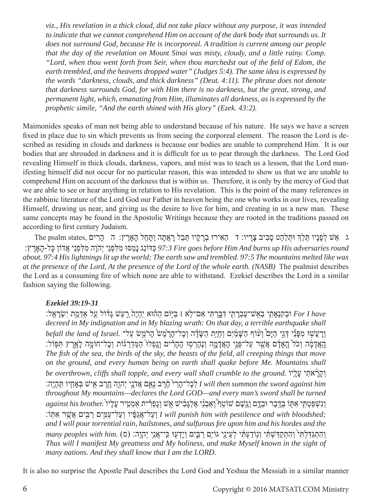*viz., His revelation in a thick cloud, did not take place without any purpose, it was intended to indicate that we cannot comprehend Him on account of the dark body that surrounds us. It does not surround God, because He is incorporeal. A tradition is current among our people that the day of the revelation on Mount Sinai was misty, cloudy, and a little rainy. Comp. "Lord, when thou went forth from Seir, when thou marchedst out of the field of Edom, the earth trembled, and the heavens dropped water" (Judges 5:4). The same idea is expressed by the words "darkness, clouds, and thick darkness" (Deut. 4:11). The phrase does not denote that darkness surrounds God, for with Him there is no darkness, but the great, strong, and permanent light, which, emanating from Him, illuminates all darkness, as is expressed by the prophetic simile, "And the earth shined with His glory" (Ezek. 43:2).*

Maimonides speaks of man not being able to understand because of his nature. He says we have a screen fixed in place due to sin which prevents us from seeing the corporeal element. The reason the Lord is described as residing in clouds and darkness is because our bodies are unable to comprehend Him. It is our bodies that are shrouded in darkness and it is difficult for us to pear through the darkness. The Lord God revealing Himself in thick clouds, darkness, vapors, and mist was to teach us a lesson, that the Lord manifesting himself did not occur for no particular reason, this was intended to show us that we are unable to comprehend Him on account of the darkness that is within us. Therefore, it is only by the mercy of God that we are able to see or hear anything in relation to His revelation. This is the point of the many references in the rabbinic literature of the Lord God our Father in heaven being the one who works in our lives, revealing Himself, drawing us near, and giving us the desire to live for him, and creating in us a new man. These same concepts may be found in the Apostolic Writings because they are rooted in the traditions passed on according to first century Judaism.

ג אֵשׁ לְפָנָיו תֵּלֵךְ וּתִלַּהֵט סָבִיב צָרָיו: ד ַהָאִירוּ בְרָקָיו תֵּבֵל רָאֲתָה וַתָּחֵל הָאָרֶץ: ה ַהָרים ,The psalm states  *round adversaries His up burns And Him before goes Fire 97:3* ַכּדּוֹנַג נָ ַמסּוּ ִמ ִלּ ְפנֵי יְהָֹוה ִמ ִלּ ְפנֵי ֲאדוֹן ָכּל- ָה ֶאָרץ: *about. 97:4 His lightnings lit up the world; The earth saw and trembled. 97:5 The mountains melted like wax at the presence of the Lord, At the presence of the Lord of the whole earth. (NASB)* The psalmist describes the Lord as a consuming fire of which none are able to withstand. Ezekiel describes the Lord in a similar fashion saying the following.

# *Ezekiel 39:19-31*

 *have I For* ְוּב ִקנְ ִ֥אָתי ְב ֵא ֶשׁ־ע ְבָר ִ֖תי ִדַּ֑בּ ְר ִתּי ִא ֣ם־ֹלא ׀ ַבּ֣יּוֹם ַה֗הוּא ִיֽ ְהיֶ ֙ה ַ֣ר ַעשׁ ָגּ֔דוֹל ַ֖על ְאַדַ֥מת יִ ְשָׂרֵאֽל׃ *decreed in My indignation and in My blazing wrath: On that day, a terrible earthquake shall*  ְוָרֲע ֣שׁוּ ִמ ָפּ֡נַי ְדֵּ֣גי ַהיָּ֩ם ְו֨עוֹף ַה ָשַּׁ֜מיִם ְו ַחַיּ֣ת ַה ָשֶּׂ֗דה ְו ָכ ָ ל־הֶ֙ר ֶמ ֙שׂ ָהרֵֹ֣משׂ ַעל־ *.Israel of land the befall* ְהָאֲדָמֶׂה וְכֹל<sup>י</sup> הָאָדָם אֲשֶׁר עֲל־פָּנֵי הָאֲדָמֶה וְנֵהֶרְסוּ הֶהָרִים וְנַפְלוּ הַמֵּדְרֻגּוֹת וְכַל־חוֹמָה לַאֲרֵץ תִּפִּוֹל: *The fish of the sea, the birds of the sky, the beasts of the field, all creeping things that move on the ground, and every human being on earth shall quake before Me. Mountains shall be overthrown, cliffs shall topple, and every wall shall crumble to the ground.* וְקָרָאתִי עָלָיו ישׁ בְּאֲחָיו תְּהָיֶה: I will then summon the sword against him *throughout My mountains—declares the Lord GOD—and every man's sword shall be turned*  וִנְשְׁפַּטְתִּי אִתְּוֹ בְּדֶבֶר וּבְדֶם וְגֵשֶׁם שׁוֹטֵף ְוַאֲבְנֵי אֶלְגָּבִישׁ אֵשׁ וְגָפְרִית אַמְטִיר עָלְיו  *;bloodshed with and pestilence with him punish will I* ְו ַע ֲ ל־אגַ ָ֔פּיו ְו ַע ַ ל־ע ִ֥מּים ַר ִ֖בּים ֲא ֶ֥שׁר ִא ֽתּוֹ׃ *and I will pour torrential rain, hailstones, and sulfurous fire upon him and his hordes and the*  וְהִתְגַּדִּלְתִּי ְוְהִתְקַדִּשְׁתִּ֫י וְנָוֹדַעְתִּ֫י לְעֵינֵי גּוֹיִם רַבִּים וְיָדְעָוּ כִּֽי־אֲנִי יְהָוֶה: (ס) *Thus will I manifest My greatness and My holiness, and make Myself known in the sight of many nations. And they shall know that I am the LORD.*

It is also no surprise the Apostle Paul describes the Lord God and Yeshua the Messiah in a similar manner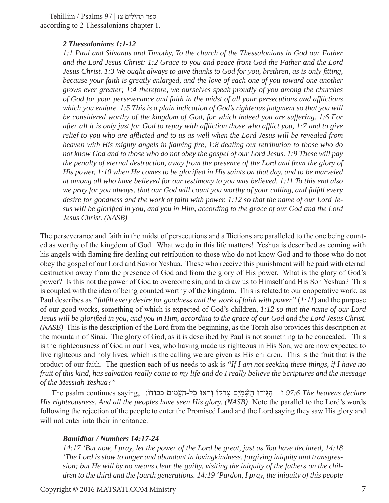— ספר תהילים צז | 97 Psalms / Tehillim according to 2 Thessalonians chapter 1.

#### *2 Thessalonians 1:1-12*

*1:1 Paul and Silvanus and Timothy, To the church of the Thessalonians in God our Father and the Lord Jesus Christ: 1:2 Grace to you and peace from God the Father and the Lord Jesus Christ. 1:3 We ought always to give thanks to God for you, brethren, as is only fitting, because your faith is greatly enlarged, and the love of each one of you toward one another grows ever greater; 1:4 therefore, we ourselves speak proudly of you among the churches of God for your perseverance and faith in the midst of all your persecutions and afflictions which you endure. 1:5 This is a plain indication of God's righteous judgment so that you will be considered worthy of the kingdom of God, for which indeed you are suffering. 1:6 For after all it is only just for God to repay with affliction those who afflict you, 1:7 and to give relief to you who are afflicted and to us as well when the Lord Jesus will be revealed from heaven with His mighty angels in flaming fire, 1:8 dealing out retribution to those who do not know God and to those who do not obey the gospel of our Lord Jesus. 1:9 These will pay the penalty of eternal destruction, away from the presence of the Lord and from the glory of His power, 1:10 when He comes to be glorified in His saints on that day, and to be marveled at among all who have believed for our testimony to you was believed. 1:11 To this end also we pray for you always, that our God will count you worthy of your calling, and fulfill every desire for goodness and the work of faith with power, 1:12 so that the name of our Lord Jesus will be glorified in you, and you in Him, according to the grace of our God and the Lord Jesus Christ. (NASB)*

The perseverance and faith in the midst of persecutions and afflictions are paralleled to the one being counted as worthy of the kingdom of God. What we do in this life matters! Yeshua is described as coming with his angels with flaming fire dealing out retribution to those who do not know God and to those who do not obey the gospel of our Lord and Savior Yeshua. These who receive this punishment will be paid with eternal destruction away from the presence of God and from the glory of His power. What is the glory of God's power? Is this not the power of God to overcome sin, and to draw us to Himself and His Son Yeshua? This is coupled with the idea of being counted worthy of the kingdom. This is related to our cooperative work, as Paul describes as *"fulfill every desire for goodness and the work of faith with power"* (*1:11*) and the purpose of our good works, something of which is expected of God's children, *1:12 so that the name of our Lord Jesus will be glorified in you, and you in Him, according to the grace of our God and the Lord Jesus Christ. (NASB)* This is the description of the Lord from the beginning, as the Torah also provides this description at the mountain of Sinai. The glory of God, as it is described by Paul is not something to be concealed. This is the righteousness of God in our lives, who having made us righteous in His Son, we are now expected to live righteous and holy lives, which is the calling we are given as His children. This is the fruit that is the product of our faith. The question each of us needs to ask is *"If I am not seeking these things, if I have no fruit of this kind, has salvation really come to my life and do I really believe the Scriptures and the message of the Messiah Yeshua?"*

The psalm continues saying, :רְבוֹצוּ כָל-הָעמּים כָּבוֹדוֹ *(97:6 The heavens declare His righteousness, And all the peoples have seen His glory. (NASB)* Note the parallel to the Lord's words following the rejection of the people to enter the Promised Land and the Lord saying they saw His glory and will not enter into their inheritance.

## *Bamidbar / Numbers 14:17-24*

*14:17 'But now, I pray, let the power of the Lord be great, just as You have declared, 14:18 'The Lord is slow to anger and abundant in lovingkindness, forgiving iniquity and transgression; but He will by no means clear the guilty, visiting the iniquity of the fathers on the children to the third and the fourth generations. 14:19 'Pardon, I pray, the iniquity of this people*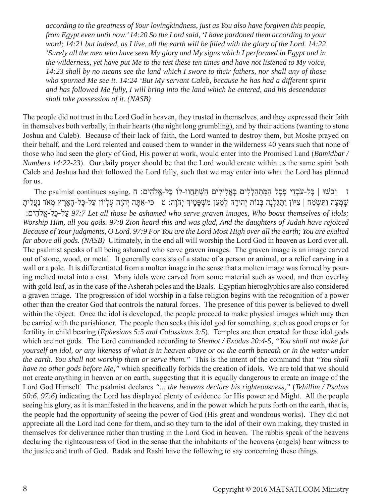*according to the greatness of Your lovingkindness, just as You also have forgiven this people, from Egypt even until now.' 14:20 So the Lord said, 'I have pardoned them according to your word; 14:21 but indeed, as I live, all the earth will be filled with the glory of the Lord. 14:22 'Surely all the men who have seen My glory and My signs which I performed in Egypt and in the wilderness, yet have put Me to the test these ten times and have not listened to My voice, 14:23 shall by no means see the land which I swore to their fathers, nor shall any of those who spurned Me see it. 14:24 'But My servant Caleb, because he has had a different spirit and has followed Me fully, I will bring into the land which he entered, and his descendants shall take possession of it. (NASB)*

The people did not trust in the Lord God in heaven, they trusted in themselves, and they expressed their faith in themselves both verbally, in their hearts (the night long grumbling), and by their actions (wanting to stone Joshua and Caleb). Because of their lack of faith, the Lord wanted to destroy them, but Moshe prayed on their behalf, and the Lord relented and caused them to wander in the wilderness 40 years such that none of those who had seen the glory of God, His power at work, would enter into the Promised Land (*Bamidbar / Numbers 14:22-23*). Our daily prayer should be that the Lord would create within us the same spirit both Caleb and Joshua had that followed the Lord fully, such that we may enter into what the Lord has planned for us.

יֵבשׁוּ | כַּל-עֹבְדֵי כֵּסֶל הַמִּתְהַלְלִים בַּאֱלִילִים הִשְׁתַּחֲוּ-לוֹ כַּל-אֱלֹהִים: ח ,The psalmist continues saying ח ָשְׁמְעָה וַתִּשְׂמַח | צִיּוֹן וַתָּגֵלְנָה בְּנוֹת יְהוּדָה לְמַעַן מִשְׁפָּטֶיךָ יְהוָה: ט ִכִּי-אַתָּה יְהוָה עֵלְיוֹן עַל-כָּל-הָאַרִץ מְאֹד נַעֲלִית :להיםִֹ אֱ-כּלָ -עלַ *97:7 Let all those be ashamed who serve graven images, Who boast themselves of idols; Worship Him, all you gods. 97:8 Zion heard this and was glad, And the daughters of Judah have rejoiced Because of Your judgments, O Lord. 97:9 For You are the Lord Most High over all the earth; You are exalted far above all gods. (NASB)* Ultimately, in the end all will worship the Lord God in heaven as Lord over all. The psalmist speaks of all being ashamed who serve graven images. The graven image is an image carved out of stone, wood, or metal. It generally consists of a statue of a person or animal, or a relief carving in a wall or a pole. It is differentiated from a molten image in the sense that a molten image was formed by pouring melted metal into a cast. Many idols were carved from some material such as wood, and then overlay with gold leaf, as in the case of the Asherah poles and the Baals. Egyptian hieroglyphics are also considered a graven image. The progression of idol worship in a false religion begins with the recognition of a power other than the creator God that controls the natural forces. The presence of this power is believed to dwell within the object. Once the idol is developed, the people proceed to make physical images which may then be carried with the parishioner. The people then seeks this idol god for something, such as good crops or for fertility in child bearing (*Ephesians 5:5 and Colossians 3:5*). Temples are then created for these idol gods which are not gods. The Lord commanded according to *Shemot / Exodus 20:4-5, "You shall not make for yourself an idol, or any likeness of what is in heaven above or on the earth beneath or in the water under the earth. You shall not worship them or serve them."* This is the intent of the command that *"You shall have no other gods before Me,"* which specifically forbids the creation of idols. We are told that we should not create anything in heaven or on earth, suggesting that it is equally dangerous to create an image of the Lord God Himself. The psalmist declares *"... the heavens declare his righteousness,"* (*Tehillim / Psalms 50:6, 97:6*) indicating the Lord has displayed plenty of evidence for His power and Might. All the people seeing his glory, as it is manifested in the heavens, and in the power which he puts forth on the earth, that is, the people had the opportunity of seeing the power of God (His great and wondrous works). They did not appreciate all the Lord had done for them, and so they turn to the idol of their own making, they trusted in themselves for deliverance rather than trusting in the Lord God in heaven. The rabbis speak of the heavens declaring the righteousness of God in the sense that the inhabitants of the heavens (angels) bear witness to the justice and truth of God. Radak and Rashi have the following to say concerning these things.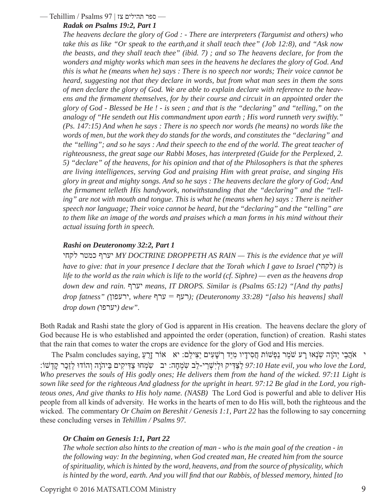#### — ספר תהילים צז | 97 Psalms / Tehillim—

#### *Radak on Psalms 19:2, Part 1*

*The heavens declare the glory of God : - There are interpreters (Targumist and others) who take this as like "Or speak to the earth,and it shall teach thee" (Job 12:8), and "Ask now the beasts, and they shall teach thee" (ibid. 7) ; and so The heavens declare, for from the wonders and mighty works which man sees in the heavens he declares the glory of God. And this is what he (means when he) says : There is no speech nor words; Their voice cannot be heard, suggesting not that they declare in words, but from what man sees in them the sons of men declare the glory of God. We are able to explain declare with reference to the heavens and the firmament themselves, for by their course and circuit in an appointed order the glory of God - Blessed be He ! - is seen ; and that is the "declaring" and "telling," on the analogy of "He sendeth out His commandment upon earth ; His word runneth very swiftly." (Ps. 147:15) And when he says : There is no speech nor words (he means) no words like the words of men, but the work they do stands for the words, and constitutes the "declaring" and the "telling"; and so he says : And their speech to the end of the world. The great teacher of righteousness, the great sage our Rabbi Moses, has interpreted (Guide for the Perplexed, 2. 5) "declare" of the heavens, for his opinion and that of the Philosophers is that the spheres are living intelligences, serving God and praising Him with great praise, and singing His glory in great and mighty songs. And so he says : The heavens declare the glory of God; And the firmament telleth His handywork, notwithstanding that the "declaring" and the "telling" are not with mouth and tongue. This is what he (means when he) says : There is neither speech nor language; Their voice cannot be heard, but the "declaring" and the "telling" are to them like an image of the words and praises which a man forms in his mind without their actual issuing forth in speech.*

#### *Rashi on Deuteronomy 32:2, Part 1*

לקחי כמטר יערף *MY DOCTRINE DROPPETH AS RAIN — This is the evidence that ye will*   $h$ ave to give: that in your presence I declare that the Torah which I gave to Israel ( $\langle \overline{\eta} \eta \overline{\eta} \rangle$ ) is *life to the world as the rain which is life to the world (cf. Siphre) — even as the heavens drop down dew and rain.* יערף *means, IT DROPS. Similar is (Psalms 65:12) "[And thy paths] drop fatness" (*ירעפון*, where* ערף = רעף*) ;(Deuteronomy 33:28) "[also his heavens] shall drop down (יערפו) dew".* 

Both Radak and Rashi state the glory of God is apparent in His creation. The heavens declare the glory of God because He is who established and appointed the order (operation, function) of creation. Rashi states that the rain that comes to water the crops are evidence for the glory of God and His mercies.

י אָׂהֲבֵי יְהֹוָה שִׂנְאוּ רָע שֹׁמֵר נַפְשׁוֹת חֲסִידָיו מִיַּד רְשָׁעִים יַצִּילֵם: יא אוֹר זָרֶעַ salm concludes saying, י ; וְהוֹדוּ לְזֶכֵר קַדְשׁוֹ: יב ִשְׂמְחָה: יב ִשְׂמְחוּ צַדִּיקִים בַּיהוָה וְהוֹדוּ לְזֶכֵר קַדְשׁוֹ: <sup>1</sup><br>בָּ יִשְׂמָחָה: יב יִשְׂמְחוּ צַדִּיקִים בַּיהוָה וְהוֹדוּ לְזֶכֵר קַדְשׁוֹ: *Who preserves the souls of His godly ones; He delivers them from the hand of the wicked. 97:11 Light is sown like seed for the righteous And gladness for the upright in heart. 97:12 Be glad in the Lord, you righteous ones, And give thanks to His holy name. (NASB)* The Lord God is powerful and able to deliver His people from all kinds of adversity. He works in the hearts of men to do His will, both the righteous and the wicked. The commentary *Or Chaim on Bereshit / Genesis 1:1, Part 22* has the following to say concerning these concluding verses in *Tehillim / Psalms 97.*

## *Or Chaim on Genesis 1:1, Part 22*

*The whole section also hints to the creation of man - who is the main goal of the creation - in the following way: In the beginning, when God created man, He created him from the source of spirituality, which is hinted by the word, heavens, and from the source of physicality, which is hinted by the word, earth. And you will find that our Rabbis, of blessed memory, hinted [to*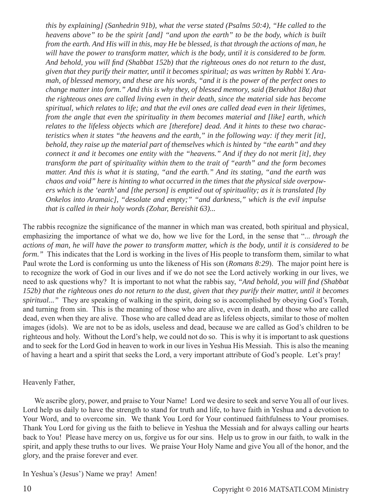*this by explaining] (Sanhedrin 91b), what the verse stated (Psalms 50:4), "He called to the heavens above" to be the spirit [and] "and upon the earth" to be the body, which is built from the earth. And His will in this, may He be blessed, is that through the actions of man, he will have the power to transform matter, which is the body, until it is considered to be form. And behold, you will find (Shabbat 152b) that the righteous ones do not return to the dust, given that they purify their matter, until it becomes spiritual; as was written by Rabbi Y. Aramah, of blessed memory, and these are his words, "and it is the power of the perfect ones to change matter into form." And this is why they, of blessed memory, said (Berakhot 18a) that the righteous ones are called living even in their death, since the material side has become spiritual, which relates to life; and that the evil ones are called dead even in their lifetimes, from the angle that even the spirituality in them becomes material and [like] earth, which relates to the lifeless objects which are [therefore] dead. And it hints to these two characteristics when it states "the heavens and the earth," in the following way: if they merit [it], behold, they raise up the material part of themselves which is hinted by "the earth" and they connect it and it becomes one entity with the "heavens." And if they do not merit [it], they transform the part of spirituality within them to the trait of "earth" and the form becomes matter. And this is what it is stating, "and the earth." And its stating, "and the earth was chaos and void" here is hinting to what occurred in the times that the physical side overpowers which is the 'earth' and [the person] is emptied out of spirituality; as it is translated [by Onkelos into Aramaic], "desolate and empty;" "and darkness," which is the evil impulse that is called in their holy words (Zohar, Bereishit 63)...*

The rabbis recognize the significance of the manner in which man was created, both spiritual and physical, emphasizing the importance of what we do, how we live for the Lord, in the sense that "... *through the actions of man, he will have the power to transform matter, which is the body, until it is considered to be form.*" This indicates that the Lord is working in the lives of His people to transform them, similar to what Paul wrote the Lord is conforming us unto the likeness of His son (*Romans 8:29*). The major point here is to recognize the work of God in our lives and if we do not see the Lord actively working in our lives, we need to ask questions why? It is important to not what the rabbis say, *"And behold, you will find (Shabbat 152b) that the righteous ones do not return to the dust, given that they purify their matter, until it becomes spiritual..."* They are speaking of walking in the spirit, doing so is accomplished by obeying God's Torah, and turning from sin. This is the meaning of those who are alive, even in death, and those who are called dead, even when they are alive. Those who are called dead are as lifeless objects, similar to those of molten images (idols). We are not to be as idols, useless and dead, because we are called as God's children to be righteous and holy. Without the Lord's help, we could not do so. This is why it is important to ask questions and to seek for the Lord God in heaven to work in our lives in Yeshua His Messiah. This is also the meaning of having a heart and a spirit that seeks the Lord, a very important attribute of God's people. Let's pray!

## Heavenly Father,

We ascribe glory, power, and praise to Your Name! Lord we desire to seek and serve You all of our lives. Lord help us daily to have the strength to stand for truth and life, to have faith in Yeshua and a devotion to Your Word, and to overcome sin. We thank You Lord for Your continued faithfulness to Your promises. Thank You Lord for giving us the faith to believe in Yeshua the Messiah and for always calling our hearts back to You! Please have mercy on us, forgive us for our sins. Help us to grow in our faith, to walk in the spirit, and apply these truths to our lives. We praise Your Holy Name and give You all of the honor, and the glory, and the praise forever and ever.

In Yeshua's (Jesus') Name we pray! Amen!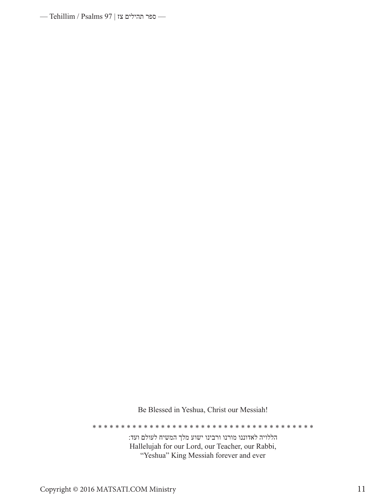— ספר תהילים צז | 97 Psalms —

Be Blessed in Yeshua, Christ our Messiah!

\* \* \* \* \* \* \* \* \* \* \* \* \* \* \* \* \* \* \* \* \* \* \* \* \* \* \* \* \* \* \* \* \* \* \* \* \* \* \*

הללויה לאדוננו מורנו ורבינו ישוע מלך המשיח לעולם ועד: Hallelujah for our Lord, our Teacher, our Rabbi, "Yeshua" King Messiah forever and ever